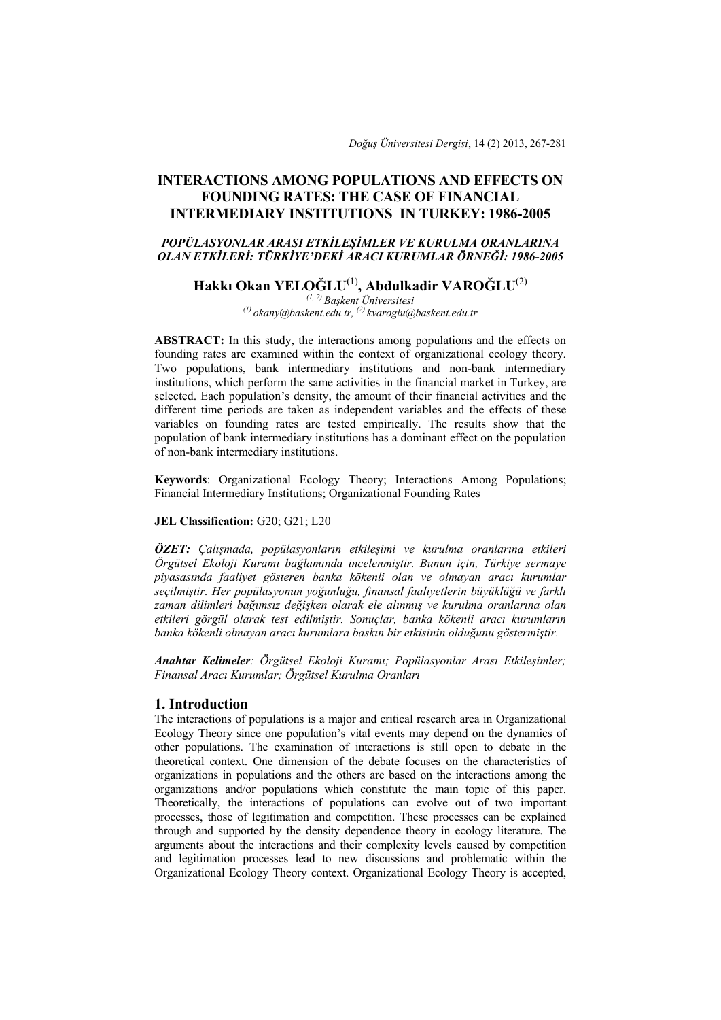*Doğuş Üniversitesi Dergisi*, 14 (2) 2013, 267-281

# **INTERACTIONS AMONG POPULATIONS AND EFFECTS ON FOUNDING RATES: THE CASE OF FINANCIAL INTERMEDIARY INSTITUTIONS IN TURKEY: 1986-2005**

# *POPÜLASYONLAR ARASI ETKİLEŞİMLER VE KURULMA ORANLARINA OLAN ETKİLERİ: TÜRKİYE'DEKİ ARACI KURUMLAR ÖRNEĞİ: 1986-2005*

# **Hakkı Okan YELOĞLU**(1)**, Abdulkadir VAROĞLU**(2)

*(1, 2) Başkent Üniversitesi (1) okany@baskent.edu.tr, (2) kvaroglu@baskent.edu.tr* 

**ABSTRACT:** In this study, the interactions among populations and the effects on founding rates are examined within the context of organizational ecology theory. Two populations, bank intermediary institutions and non-bank intermediary institutions, which perform the same activities in the financial market in Turkey, are selected. Each population's density, the amount of their financial activities and the different time periods are taken as independent variables and the effects of these variables on founding rates are tested empirically. The results show that the population of bank intermediary institutions has a dominant effect on the population of non-bank intermediary institutions.

**Keywords**: Organizational Ecology Theory; Interactions Among Populations; Financial Intermediary Institutions; Organizational Founding Rates

## JEL Classification: G20; G21; L20

*ÖZET: Çalışmada, popülasyonların etkileşimi ve kurulma oranlarına etkileri Örgütsel Ekoloji Kuramı bağlamında incelenmiştir. Bunun için, Türkiye sermaye piyasasında faaliyet gösteren banka kökenli olan ve olmayan aracı kurumlar seçilmiştir. Her popülasyonun yoğunluğu, finansal faaliyetlerin büyüklüğü ve farklı zaman dilimleri bağımsız değişken olarak ele alınmış ve kurulma oranlarına olan etkileri görgül olarak test edilmiştir. Sonuçlar, banka kökenli aracı kurumların banka kökenli olmayan aracı kurumlara baskın bir etkisinin olduğunu göstermiştir.* 

*Anahtar Kelimeler: Örgütsel Ekoloji Kuramı; Popülasyonlar Arası Etkileşimler; Finansal Aracı Kurumlar; Örgütsel Kurulma Oranları*

## **1. Introduction**

The interactions of populations is a major and critical research area in Organizational Ecology Theory since one population's vital events may depend on the dynamics of other populations. The examination of interactions is still open to debate in the theoretical context. One dimension of the debate focuses on the characteristics of organizations in populations and the others are based on the interactions among the organizations and/or populations which constitute the main topic of this paper. Theoretically, the interactions of populations can evolve out of two important processes, those of legitimation and competition. These processes can be explained through and supported by the density dependence theory in ecology literature. The arguments about the interactions and their complexity levels caused by competition and legitimation processes lead to new discussions and problematic within the Organizational Ecology Theory context. Organizational Ecology Theory is accepted,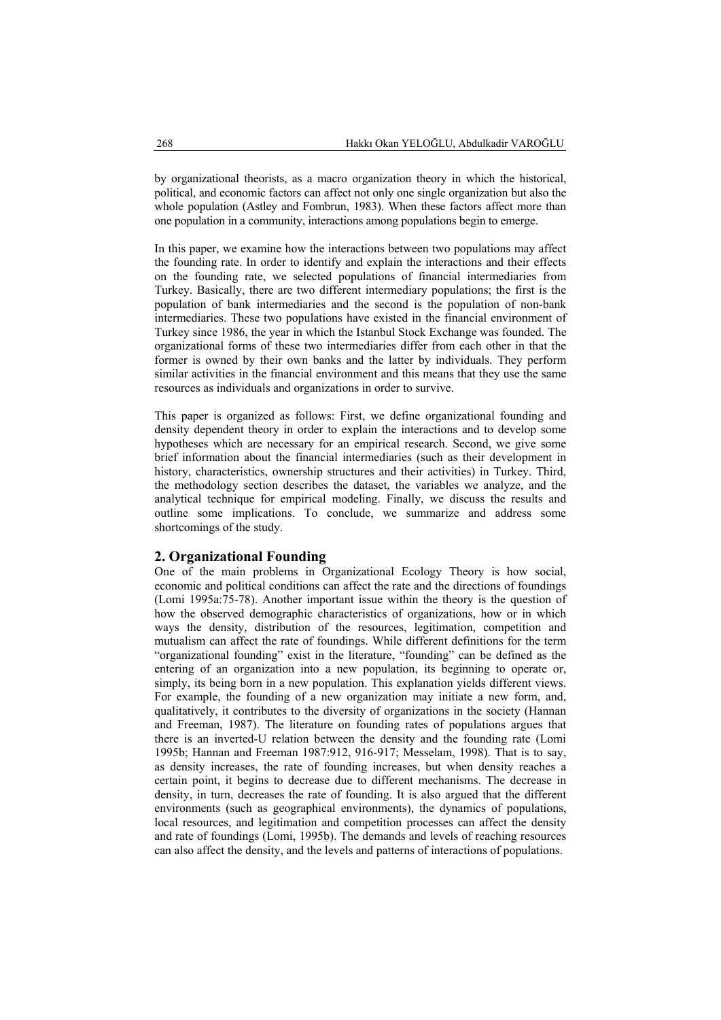by organizational theorists, as a macro organization theory in which the historical, political, and economic factors can affect not only one single organization but also the whole population (Astley and Fombrun, 1983). When these factors affect more than one population in a community, interactions among populations begin to emerge.

In this paper, we examine how the interactions between two populations may affect the founding rate. In order to identify and explain the interactions and their effects on the founding rate, we selected populations of financial intermediaries from Turkey. Basically, there are two different intermediary populations; the first is the population of bank intermediaries and the second is the population of non-bank intermediaries. These two populations have existed in the financial environment of Turkey since 1986, the year in which the Istanbul Stock Exchange was founded. The organizational forms of these two intermediaries differ from each other in that the former is owned by their own banks and the latter by individuals. They perform similar activities in the financial environment and this means that they use the same resources as individuals and organizations in order to survive.

This paper is organized as follows: First, we define organizational founding and density dependent theory in order to explain the interactions and to develop some hypotheses which are necessary for an empirical research. Second, we give some brief information about the financial intermediaries (such as their development in history, characteristics, ownership structures and their activities) in Turkey. Third, the methodology section describes the dataset, the variables we analyze, and the analytical technique for empirical modeling. Finally, we discuss the results and outline some implications. To conclude, we summarize and address some shortcomings of the study.

## **2. Organizational Founding**

One of the main problems in Organizational Ecology Theory is how social, economic and political conditions can affect the rate and the directions of foundings (Lomi 1995a:75-78). Another important issue within the theory is the question of how the observed demographic characteristics of organizations, how or in which ways the density, distribution of the resources, legitimation, competition and mutualism can affect the rate of foundings. While different definitions for the term "organizational founding" exist in the literature, "founding" can be defined as the entering of an organization into a new population, its beginning to operate or, simply, its being born in a new population. This explanation yields different views. For example, the founding of a new organization may initiate a new form, and, qualitatively, it contributes to the diversity of organizations in the society (Hannan and Freeman, 1987). The literature on founding rates of populations argues that there is an inverted-U relation between the density and the founding rate (Lomi 1995b; Hannan and Freeman 1987:912, 916-917; Messelam, 1998). That is to say, as density increases, the rate of founding increases, but when density reaches a certain point, it begins to decrease due to different mechanisms. The decrease in density, in turn, decreases the rate of founding. It is also argued that the different environments (such as geographical environments), the dynamics of populations, local resources, and legitimation and competition processes can affect the density and rate of foundings (Lomi, 1995b). The demands and levels of reaching resources can also affect the density, and the levels and patterns of interactions of populations.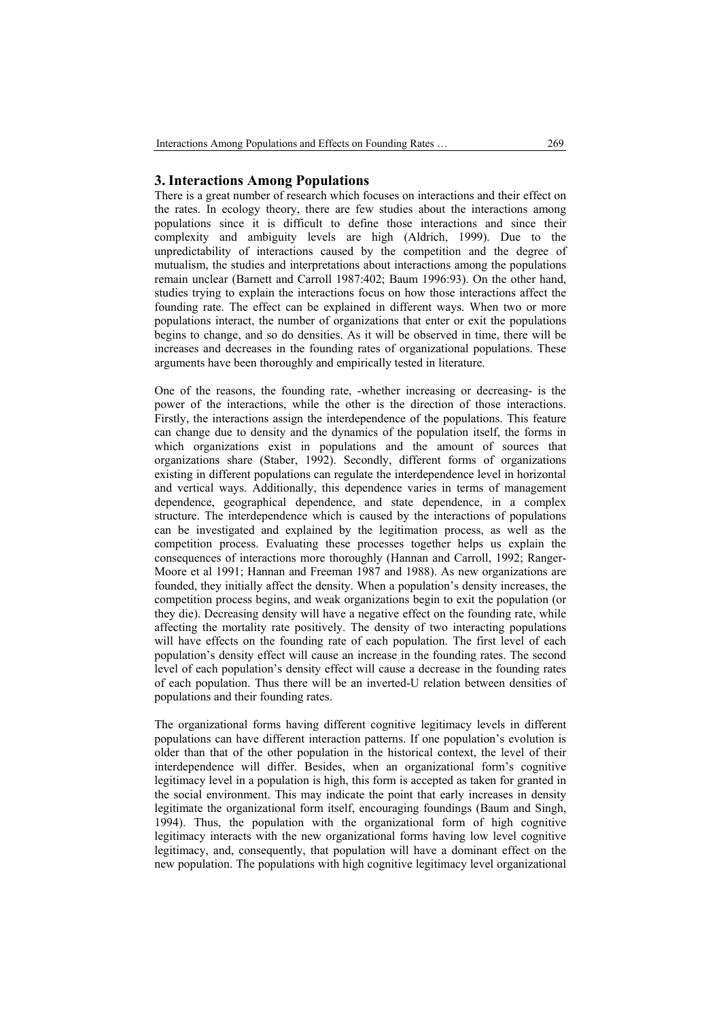## **3. Interactions Among Populations**

There is a great number of research which focuses on interactions and their effect on the rates. In ecology theory, there are few studies about the interactions among populations since it is difficult to define those interactions and since their complexity and ambiguity levels are high (Aldrich, 1999). Due to the unpredictability of interactions caused by the competition and the degree of mutualism, the studies and interpretations about interactions among the populations remain unclear (Barnett and Carroll 1987:402; Baum 1996:93). On the other hand, studies trying to explain the interactions focus on how those interactions affect the founding rate. The effect can be explained in different ways. When two or more populations interact, the number of organizations that enter or exit the populations begins to change, and so do densities. As it will be observed in time, there will be increases and decreases in the founding rates of organizational populations. These arguments have been thoroughly and empirically tested in literature.

One of the reasons, the founding rate, -whether increasing or decreasing- is the power of the interactions, while the other is the direction of those interactions. Firstly, the interactions assign the interdependence of the populations. This feature can change due to density and the dynamics of the population itself, the forms in which organizations exist in populations and the amount of sources that organizations share (Staber, 1992). Secondly, different forms of organizations existing in different populations can regulate the interdependence level in horizontal and vertical ways. Additionally, this dependence varies in terms of management dependence, geographical dependence, and state dependence, in a complex structure. The interdependence which is caused by the interactions of populations can be investigated and explained by the legitimation process, as well as the competition process. Evaluating these processes together helps us explain the consequences of interactions more thoroughly (Hannan and Carroll, 1992; Ranger-Moore et al 1991; Hannan and Freeman 1987 and 1988). As new organizations are founded, they initially affect the density. When a population's density increases, the competition process begins, and weak organizations begin to exit the population (or they die). Decreasing density will have a negative effect on the founding rate, while affecting the mortality rate positively. The density of two interacting populations will have effects on the founding rate of each population. The first level of each population's density effect will cause an increase in the founding rates. The second level of each population's density effect will cause a decrease in the founding rates of each population. Thus there will be an inverted-U relation between densities of populations and their founding rates.

The organizational forms having different cognitive legitimacy levels in different populations can have different interaction patterns. If one population's evolution is older than that of the other population in the historical context, the level of their interdependence will differ. Besides, when an organizational form's cognitive legitimacy level in a population is high, this form is accepted as taken for granted in the social environment. This may indicate the point that early increases in density legitimate the organizational form itself, encouraging foundings (Baum and Singh, 1994). Thus, the population with the organizational form of high cognitive legitimacy interacts with the new organizational forms having low level cognitive legitimacy, and, consequently, that population will have a dominant effect on the new population. The populations with high cognitive legitimacy level organizational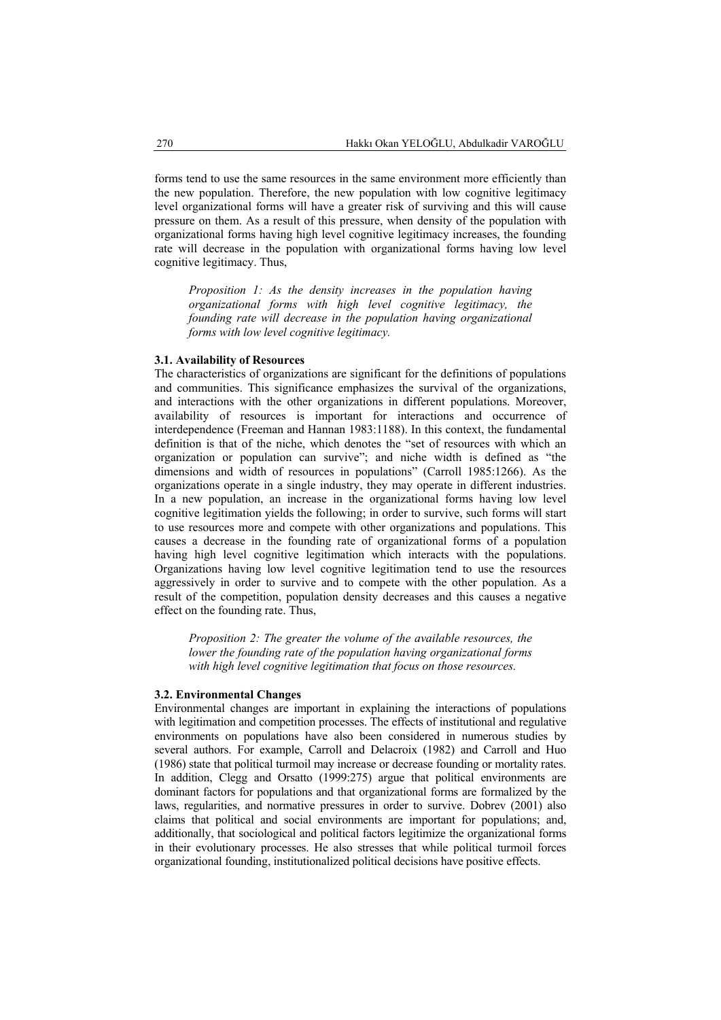forms tend to use the same resources in the same environment more efficiently than the new population. Therefore, the new population with low cognitive legitimacy level organizational forms will have a greater risk of surviving and this will cause pressure on them. As a result of this pressure, when density of the population with organizational forms having high level cognitive legitimacy increases, the founding rate will decrease in the population with organizational forms having low level cognitive legitimacy. Thus,

*Proposition 1: As the density increases in the population having organizational forms with high level cognitive legitimacy, the founding rate will decrease in the population having organizational forms with low level cognitive legitimacy.* 

#### **3.1. Availability of Resources**

The characteristics of organizations are significant for the definitions of populations and communities. This significance emphasizes the survival of the organizations, and interactions with the other organizations in different populations. Moreover, availability of resources is important for interactions and occurrence of interdependence (Freeman and Hannan 1983:1188). In this context, the fundamental definition is that of the niche, which denotes the "set of resources with which an organization or population can survive"; and niche width is defined as "the dimensions and width of resources in populations" (Carroll 1985:1266). As the organizations operate in a single industry, they may operate in different industries. In a new population, an increase in the organizational forms having low level cognitive legitimation yields the following; in order to survive, such forms will start to use resources more and compete with other organizations and populations. This causes a decrease in the founding rate of organizational forms of a population having high level cognitive legitimation which interacts with the populations. Organizations having low level cognitive legitimation tend to use the resources aggressively in order to survive and to compete with the other population. As a result of the competition, population density decreases and this causes a negative effect on the founding rate. Thus,

*Proposition 2: The greater the volume of the available resources, the lower the founding rate of the population having organizational forms with high level cognitive legitimation that focus on those resources.* 

## **3.2. Environmental Changes**

Environmental changes are important in explaining the interactions of populations with legitimation and competition processes. The effects of institutional and regulative environments on populations have also been considered in numerous studies by several authors. For example, Carroll and Delacroix (1982) and Carroll and Huo (1986) state that political turmoil may increase or decrease founding or mortality rates. In addition, Clegg and Orsatto (1999:275) argue that political environments are dominant factors for populations and that organizational forms are formalized by the laws, regularities, and normative pressures in order to survive. Dobrev (2001) also claims that political and social environments are important for populations; and, additionally, that sociological and political factors legitimize the organizational forms in their evolutionary processes. He also stresses that while political turmoil forces organizational founding, institutionalized political decisions have positive effects.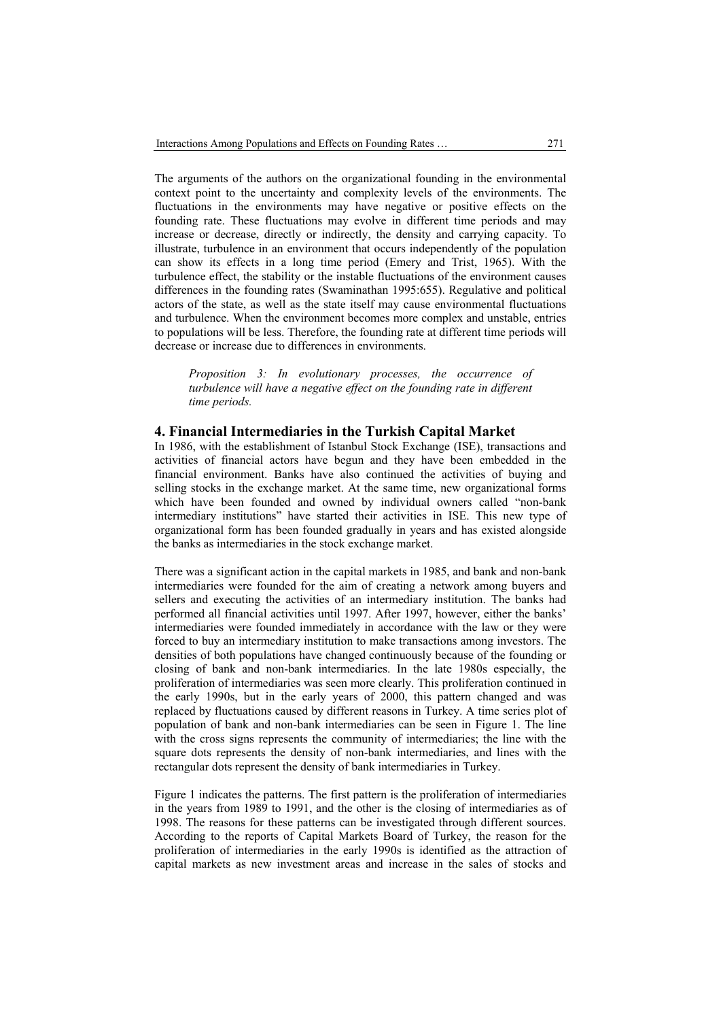The arguments of the authors on the organizational founding in the environmental context point to the uncertainty and complexity levels of the environments. The fluctuations in the environments may have negative or positive effects on the founding rate. These fluctuations may evolve in different time periods and may increase or decrease, directly or indirectly, the density and carrying capacity. To illustrate, turbulence in an environment that occurs independently of the population can show its effects in a long time period (Emery and Trist, 1965). With the turbulence effect, the stability or the instable fluctuations of the environment causes differences in the founding rates (Swaminathan 1995:655). Regulative and political actors of the state, as well as the state itself may cause environmental fluctuations and turbulence. When the environment becomes more complex and unstable, entries to populations will be less. Therefore, the founding rate at different time periods will decrease or increase due to differences in environments.

*Proposition 3: In evolutionary processes, the occurrence of turbulence will have a negative effect on the founding rate in different time periods.* 

## **4. Financial Intermediaries in the Turkish Capital Market**

In 1986, with the establishment of Istanbul Stock Exchange (ISE), transactions and activities of financial actors have begun and they have been embedded in the financial environment. Banks have also continued the activities of buying and selling stocks in the exchange market. At the same time, new organizational forms which have been founded and owned by individual owners called "non-bank intermediary institutions" have started their activities in ISE. This new type of organizational form has been founded gradually in years and has existed alongside the banks as intermediaries in the stock exchange market.

There was a significant action in the capital markets in 1985, and bank and non-bank intermediaries were founded for the aim of creating a network among buyers and sellers and executing the activities of an intermediary institution. The banks had performed all financial activities until 1997. After 1997, however, either the banks' intermediaries were founded immediately in accordance with the law or they were forced to buy an intermediary institution to make transactions among investors. The densities of both populations have changed continuously because of the founding or closing of bank and non-bank intermediaries. In the late 1980s especially, the proliferation of intermediaries was seen more clearly. This proliferation continued in the early 1990s, but in the early years of 2000, this pattern changed and was replaced by fluctuations caused by different reasons in Turkey. A time series plot of population of bank and non-bank intermediaries can be seen in Figure 1. The line with the cross signs represents the community of intermediaries; the line with the square dots represents the density of non-bank intermediaries, and lines with the rectangular dots represent the density of bank intermediaries in Turkey.

Figure 1 indicates the patterns. The first pattern is the proliferation of intermediaries in the years from 1989 to 1991, and the other is the closing of intermediaries as of 1998. The reasons for these patterns can be investigated through different sources. According to the reports of Capital Markets Board of Turkey, the reason for the proliferation of intermediaries in the early 1990s is identified as the attraction of capital markets as new investment areas and increase in the sales of stocks and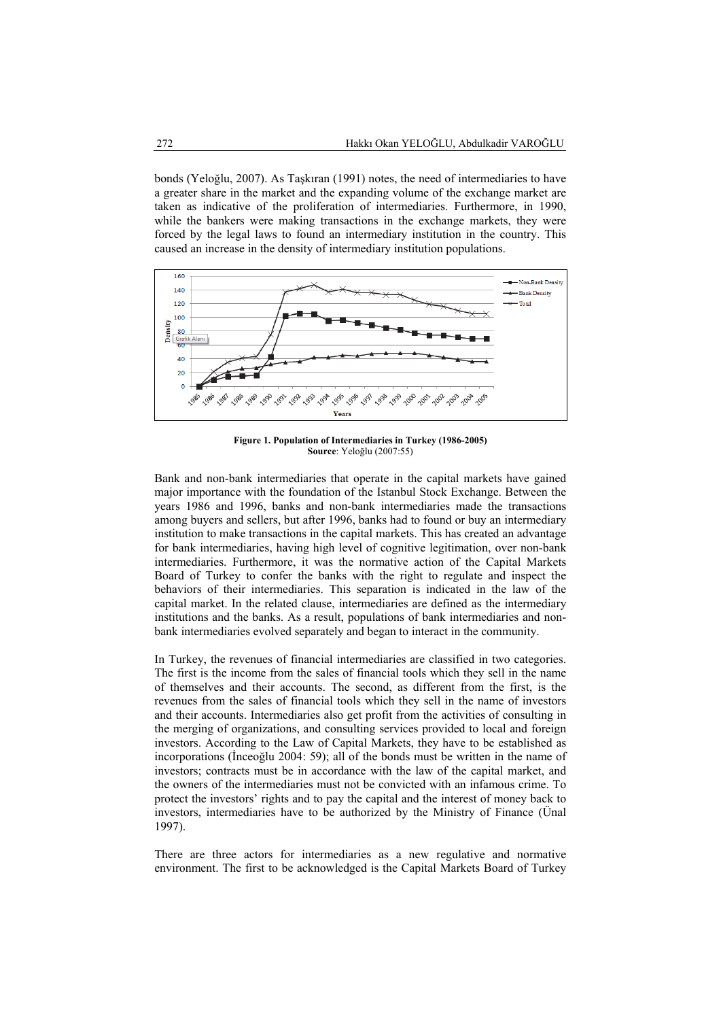bonds (Yeloğlu, 2007). As Taşkıran (1991) notes, the need of intermediaries to have a greater share in the market and the expanding volume of the exchange market are taken as indicative of the proliferation of intermediaries. Furthermore, in 1990, while the bankers were making transactions in the exchange markets, they were forced by the legal laws to found an intermediary institution in the country. This caused an increase in the density of intermediary institution populations.



**Figure 1. Population of Intermediaries in Turkey (1986-2005) Source**: Yeloğlu (2007:55)

Bank and non-bank intermediaries that operate in the capital markets have gained major importance with the foundation of the Istanbul Stock Exchange. Between the years 1986 and 1996, banks and non-bank intermediaries made the transactions among buyers and sellers, but after 1996, banks had to found or buy an intermediary institution to make transactions in the capital markets. This has created an advantage for bank intermediaries, having high level of cognitive legitimation, over non-bank intermediaries. Furthermore, it was the normative action of the Capital Markets Board of Turkey to confer the banks with the right to regulate and inspect the behaviors of their intermediaries. This separation is indicated in the law of the capital market. In the related clause, intermediaries are defined as the intermediary institutions and the banks. As a result, populations of bank intermediaries and nonbank intermediaries evolved separately and began to interact in the community.

In Turkey, the revenues of financial intermediaries are classified in two categories. The first is the income from the sales of financial tools which they sell in the name of themselves and their accounts. The second, as different from the first, is the revenues from the sales of financial tools which they sell in the name of investors and their accounts. Intermediaries also get profit from the activities of consulting in the merging of organizations, and consulting services provided to local and foreign investors. According to the Law of Capital Markets, they have to be established as incorporations (İnceoğlu 2004: 59); all of the bonds must be written in the name of investors; contracts must be in accordance with the law of the capital market, and the owners of the intermediaries must not be convicted with an infamous crime. To protect the investors' rights and to pay the capital and the interest of money back to investors, intermediaries have to be authorized by the Ministry of Finance (Ünal 1997).

There are three actors for intermediaries as a new regulative and normative environment. The first to be acknowledged is the Capital Markets Board of Turkey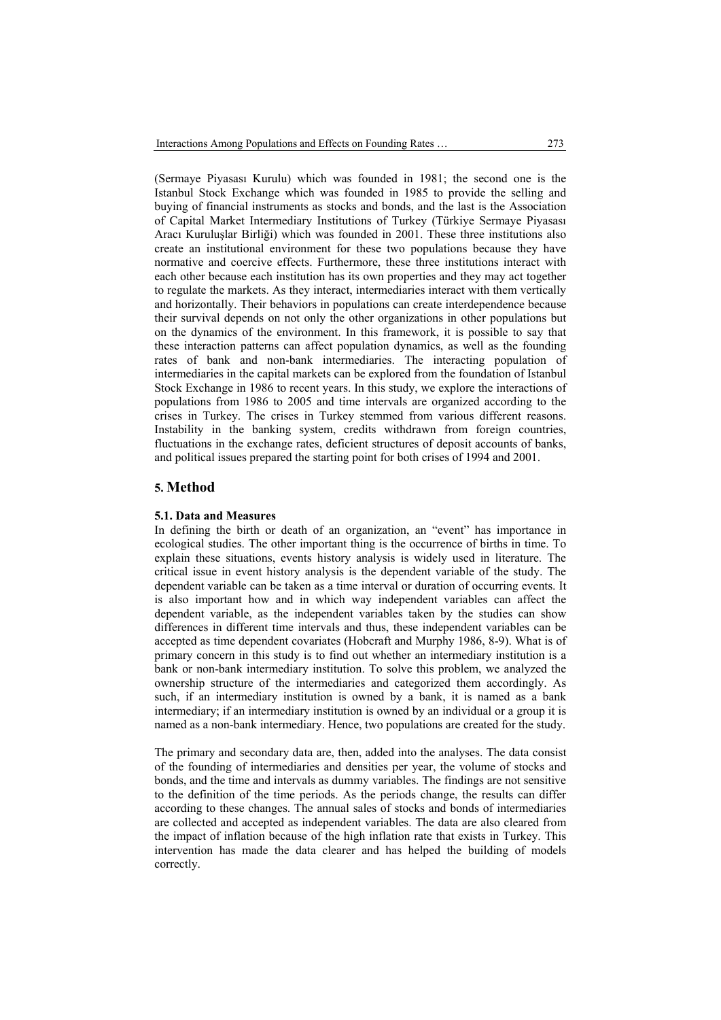(Sermaye Piyasası Kurulu) which was founded in 1981; the second one is the Istanbul Stock Exchange which was founded in 1985 to provide the selling and buying of financial instruments as stocks and bonds, and the last is the Association of Capital Market Intermediary Institutions of Turkey (Türkiye Sermaye Piyasası Aracı Kuruluşlar Birliği) which was founded in 2001. These three institutions also create an institutional environment for these two populations because they have normative and coercive effects. Furthermore, these three institutions interact with each other because each institution has its own properties and they may act together to regulate the markets. As they interact, intermediaries interact with them vertically and horizontally. Their behaviors in populations can create interdependence because their survival depends on not only the other organizations in other populations but on the dynamics of the environment. In this framework, it is possible to say that these interaction patterns can affect population dynamics, as well as the founding rates of bank and non-bank intermediaries. The interacting population of intermediaries in the capital markets can be explored from the foundation of Istanbul Stock Exchange in 1986 to recent years. In this study, we explore the interactions of populations from 1986 to 2005 and time intervals are organized according to the crises in Turkey. The crises in Turkey stemmed from various different reasons. Instability in the banking system, credits withdrawn from foreign countries, fluctuations in the exchange rates, deficient structures of deposit accounts of banks, and political issues prepared the starting point for both crises of 1994 and 2001.

## **5. Method**

#### **5.1. Data and Measures**

In defining the birth or death of an organization, an "event" has importance in ecological studies. The other important thing is the occurrence of births in time. To explain these situations, events history analysis is widely used in literature. The critical issue in event history analysis is the dependent variable of the study. The dependent variable can be taken as a time interval or duration of occurring events. It is also important how and in which way independent variables can affect the dependent variable, as the independent variables taken by the studies can show differences in different time intervals and thus, these independent variables can be accepted as time dependent covariates (Hobcraft and Murphy 1986, 8-9). What is of primary concern in this study is to find out whether an intermediary institution is a bank or non-bank intermediary institution. To solve this problem, we analyzed the ownership structure of the intermediaries and categorized them accordingly. As such, if an intermediary institution is owned by a bank, it is named as a bank intermediary; if an intermediary institution is owned by an individual or a group it is named as a non-bank intermediary. Hence, two populations are created for the study.

The primary and secondary data are, then, added into the analyses. The data consist of the founding of intermediaries and densities per year, the volume of stocks and bonds, and the time and intervals as dummy variables. The findings are not sensitive to the definition of the time periods. As the periods change, the results can differ according to these changes. The annual sales of stocks and bonds of intermediaries are collected and accepted as independent variables. The data are also cleared from the impact of inflation because of the high inflation rate that exists in Turkey. This intervention has made the data clearer and has helped the building of models correctly.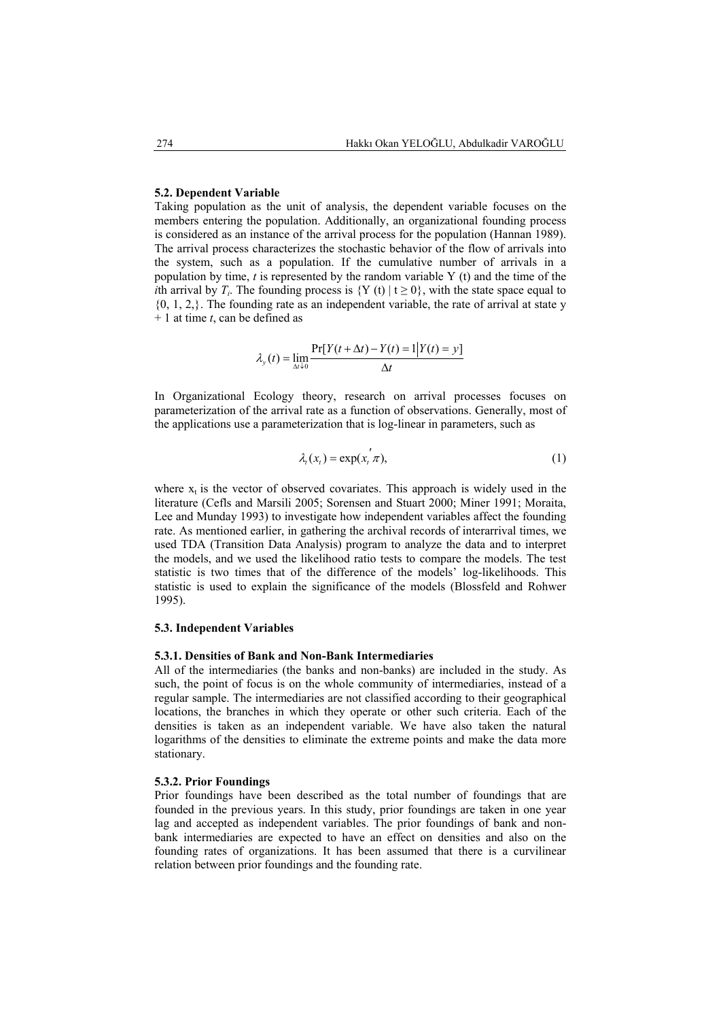#### **5.2. Dependent Variable**

Taking population as the unit of analysis, the dependent variable focuses on the members entering the population. Additionally, an organizational founding process is considered as an instance of the arrival process for the population (Hannan 1989). The arrival process characterizes the stochastic behavior of the flow of arrivals into the system, such as a population. If the cumulative number of arrivals in a population by time, *t* is represented by the random variable Y (t) and the time of the *i*th arrival by *T<sub>i</sub>*. The founding process is  ${Y(t) | t \ge 0}$ , with the state space equal to  ${0, 1, 2}$ . The founding rate as an independent variable, the rate of arrival at state y + 1 at time *t*, can be defined as

$$
\lambda_{y}(t) = \lim_{\Delta t \downarrow 0} \frac{\Pr[Y(t + \Delta t) - Y(t) = 1 | Y(t) = y]}{\Delta t}
$$

In Organizational Ecology theory, research on arrival processes focuses on parameterization of the arrival rate as a function of observations. Generally, most of the applications use a parameterization that is log-linear in parameters, such as

$$
\lambda_t(x_t) = \exp(x_t^{'}\pi),\tag{1}
$$

where  $x_t$  is the vector of observed covariates. This approach is widely used in the literature (Cefls and Marsili 2005; Sorensen and Stuart 2000; Miner 1991; Moraita, Lee and Munday 1993) to investigate how independent variables affect the founding rate. As mentioned earlier, in gathering the archival records of interarrival times, we used TDA (Transition Data Analysis) program to analyze the data and to interpret the models, and we used the likelihood ratio tests to compare the models. The test statistic is two times that of the difference of the models' log-likelihoods. This statistic is used to explain the significance of the models (Blossfeld and Rohwer 1995).

#### **5.3. Independent Variables**

## **5.3.1. Densities of Bank and Non-Bank Intermediaries**

All of the intermediaries (the banks and non-banks) are included in the study. As such, the point of focus is on the whole community of intermediaries, instead of a regular sample. The intermediaries are not classified according to their geographical locations, the branches in which they operate or other such criteria. Each of the densities is taken as an independent variable. We have also taken the natural logarithms of the densities to eliminate the extreme points and make the data more stationary.

#### **5.3.2. Prior Foundings**

Prior foundings have been described as the total number of foundings that are founded in the previous years. In this study, prior foundings are taken in one year lag and accepted as independent variables. The prior foundings of bank and nonbank intermediaries are expected to have an effect on densities and also on the founding rates of organizations. It has been assumed that there is a curvilinear relation between prior foundings and the founding rate.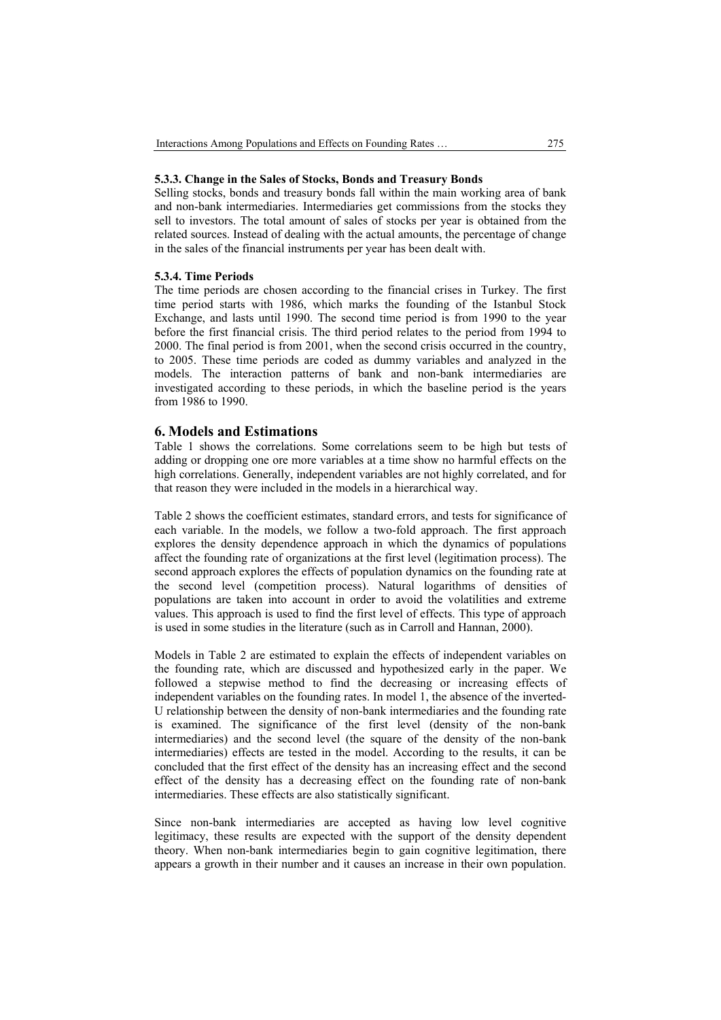#### **5.3.3. Change in the Sales of Stocks, Bonds and Treasury Bonds**

Selling stocks, bonds and treasury bonds fall within the main working area of bank and non-bank intermediaries. Intermediaries get commissions from the stocks they sell to investors. The total amount of sales of stocks per year is obtained from the related sources. Instead of dealing with the actual amounts, the percentage of change in the sales of the financial instruments per year has been dealt with.

## **5.3.4. Time Periods**

The time periods are chosen according to the financial crises in Turkey. The first time period starts with 1986, which marks the founding of the Istanbul Stock Exchange, and lasts until 1990. The second time period is from 1990 to the year before the first financial crisis. The third period relates to the period from 1994 to 2000. The final period is from 2001, when the second crisis occurred in the country, to 2005. These time periods are coded as dummy variables and analyzed in the models. The interaction patterns of bank and non-bank intermediaries are investigated according to these periods, in which the baseline period is the years from 1986 to 1990.

## **6. Models and Estimations**

Table 1 shows the correlations. Some correlations seem to be high but tests of adding or dropping one ore more variables at a time show no harmful effects on the high correlations. Generally, independent variables are not highly correlated, and for that reason they were included in the models in a hierarchical way.

Table 2 shows the coefficient estimates, standard errors, and tests for significance of each variable. In the models, we follow a two-fold approach. The first approach explores the density dependence approach in which the dynamics of populations affect the founding rate of organizations at the first level (legitimation process). The second approach explores the effects of population dynamics on the founding rate at the second level (competition process). Natural logarithms of densities of populations are taken into account in order to avoid the volatilities and extreme values. This approach is used to find the first level of effects. This type of approach is used in some studies in the literature (such as in Carroll and Hannan, 2000).

Models in Table 2 are estimated to explain the effects of independent variables on the founding rate, which are discussed and hypothesized early in the paper. We followed a stepwise method to find the decreasing or increasing effects of independent variables on the founding rates. In model 1, the absence of the inverted-U relationship between the density of non-bank intermediaries and the founding rate is examined. The significance of the first level (density of the non-bank intermediaries) and the second level (the square of the density of the non-bank intermediaries) effects are tested in the model. According to the results, it can be concluded that the first effect of the density has an increasing effect and the second effect of the density has a decreasing effect on the founding rate of non-bank intermediaries. These effects are also statistically significant.

Since non-bank intermediaries are accepted as having low level cognitive legitimacy, these results are expected with the support of the density dependent theory. When non-bank intermediaries begin to gain cognitive legitimation, there appears a growth in their number and it causes an increase in their own population.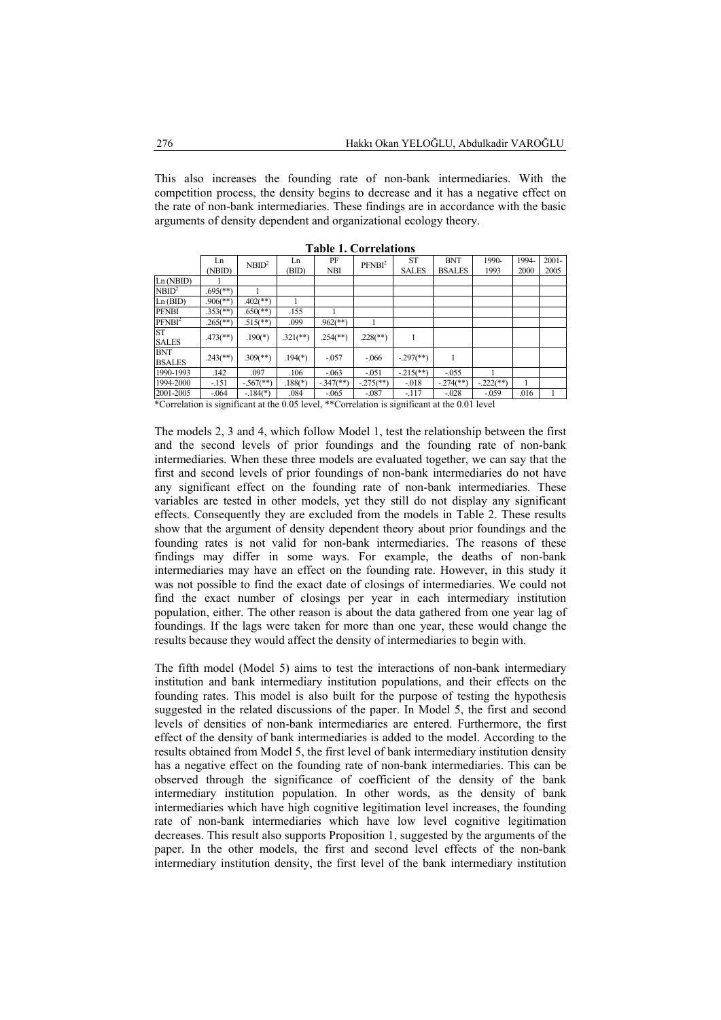This also increases the founding rate of non-bank intermediaries. With the competition process, the density begins to decrease and it has a negative effect on the rate of non-bank intermediaries. These findings are in accordance with the basic arguments of density dependent and organizational ecology theory.

|                                                                                               | Ln                       | NBID <sup>2</sup>        | Ln          | PF                       | PFNBI <sup>2</sup>       | <b>ST</b>                 | <b>BNT</b>               | 1990-       | 1994- | $2001 -$ |
|-----------------------------------------------------------------------------------------------|--------------------------|--------------------------|-------------|--------------------------|--------------------------|---------------------------|--------------------------|-------------|-------|----------|
|                                                                                               | (NBID)                   |                          | (BID)       | <b>NBI</b>               |                          | <b>SALES</b>              | <b>BSALES</b>            | 1993        | 2000  | 2005     |
| Ln(NBID)                                                                                      |                          |                          |             |                          |                          |                           |                          |             |       |          |
| NBID <sup>2</sup>                                                                             | $.695$ <sup>(**)</sup> ) |                          |             |                          |                          |                           |                          |             |       |          |
| Ln(BID)                                                                                       | $.906$ <sup>(**)</sup>   | $.402$ (**)              |             |                          |                          |                           |                          |             |       |          |
| <b>PFNBI</b>                                                                                  | $.353$ <sup>(**)</sup> ) | $.650$ <sup>(**)</sup>   | .155        |                          |                          |                           |                          |             |       |          |
| PFNB <sup>2</sup>                                                                             | $.265$ <sup>(**)</sup>   | $.515$ <sup>**</sup> )   | .099        | $.962$ <sup>**</sup> )   |                          |                           |                          |             |       |          |
| <b>ST</b><br><b>SALES</b>                                                                     | $.473$ <sup>**</sup> )   | $.190(*)$                | $.321$ (**) | $.254$ <sup>(**)</sup> ) | $.228$ <sup>(**)</sup> ) |                           |                          |             |       |          |
| <b>BNT</b><br><b>BSALES</b>                                                                   | $.243$ <sup>**</sup> )   | $.309$ <sup>(**)</sup> ) | $.194(*)$   | $-0.057$                 | $-0.066$                 | $-.297$ <sup>(**)</sup> ) |                          |             |       |          |
| 1990-1993                                                                                     | .142                     | .097                     | .106        | $-063$                   | $-0.051$                 | $-215$ <sup>**</sup> )    | $-0.055$                 |             |       |          |
| 1994-2000                                                                                     | $-151$                   | $-567$ <sup>(**)</sup> ) | $.188(*)$   | $-347$ <sup>**</sup> )   | $-275$ <sup>(**)</sup> ) | $-018$                    | $-274$ <sup>(**)</sup> ) | $-222$ (**) |       |          |
| 2001-2005                                                                                     | $-064$                   | $-184(*)$                | .084        | $-065$                   | $-.087$                  | $-117$                    | $-0.028$                 | $-0.59$     | .016  |          |
| *Correlation is significant at the 0.05 level, **Correlation is significant at the 0.01 level |                          |                          |             |                          |                          |                           |                          |             |       |          |

**Table 1. Correlations** 

The models 2, 3 and 4, which follow Model 1, test the relationship between the first and the second levels of prior foundings and the founding rate of non-bank intermediaries. When these three models are evaluated together, we can say that the first and second levels of prior foundings of non-bank intermediaries do not have any significant effect on the founding rate of non-bank intermediaries. These variables are tested in other models, yet they still do not display any significant effects. Consequently they are excluded from the models in Table 2. These results show that the argument of density dependent theory about prior foundings and the founding rates is not valid for non-bank intermediaries. The reasons of these findings may differ in some ways. For example, the deaths of non-bank intermediaries may have an effect on the founding rate. However, in this study it was not possible to find the exact date of closings of intermediaries. We could not find the exact number of closings per year in each intermediary institution population, either. The other reason is about the data gathered from one year lag of foundings. If the lags were taken for more than one year, these would change the results because they would affect the density of intermediaries to begin with.

The fifth model (Model 5) aims to test the interactions of non-bank intermediary institution and bank intermediary institution populations, and their effects on the founding rates. This model is also built for the purpose of testing the hypothesis suggested in the related discussions of the paper. In Model 5, the first and second levels of densities of non-bank intermediaries are entered. Furthermore, the first effect of the density of bank intermediaries is added to the model. According to the results obtained from Model 5, the first level of bank intermediary institution density has a negative effect on the founding rate of non-bank intermediaries. This can be observed through the significance of coefficient of the density of the bank intermediary institution population. In other words, as the density of bank intermediaries which have high cognitive legitimation level increases, the founding rate of non-bank intermediaries which have low level cognitive legitimation decreases. This result also supports Proposition 1, suggested by the arguments of the paper. In the other models, the first and second level effects of the non-bank intermediary institution density, the first level of the bank intermediary institution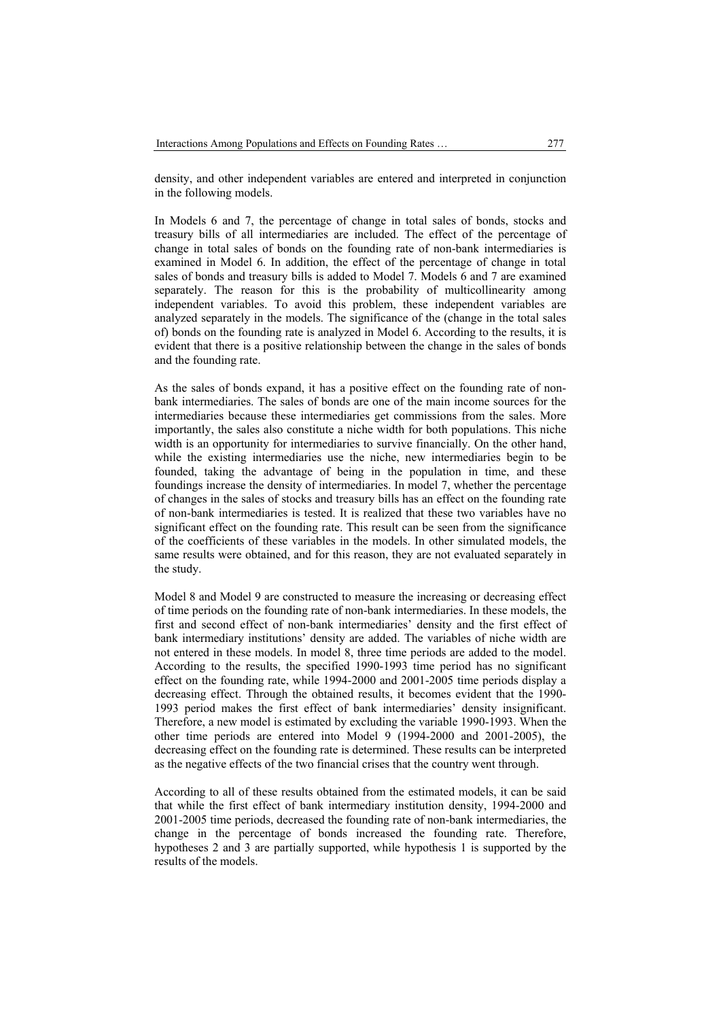density, and other independent variables are entered and interpreted in conjunction in the following models.

In Models 6 and 7, the percentage of change in total sales of bonds, stocks and treasury bills of all intermediaries are included. The effect of the percentage of change in total sales of bonds on the founding rate of non-bank intermediaries is examined in Model 6. In addition, the effect of the percentage of change in total sales of bonds and treasury bills is added to Model 7. Models 6 and 7 are examined separately. The reason for this is the probability of multicollinearity among independent variables. To avoid this problem, these independent variables are analyzed separately in the models. The significance of the (change in the total sales of) bonds on the founding rate is analyzed in Model 6. According to the results, it is evident that there is a positive relationship between the change in the sales of bonds and the founding rate.

As the sales of bonds expand, it has a positive effect on the founding rate of nonbank intermediaries. The sales of bonds are one of the main income sources for the intermediaries because these intermediaries get commissions from the sales. More importantly, the sales also constitute a niche width for both populations. This niche width is an opportunity for intermediaries to survive financially. On the other hand, while the existing intermediaries use the niche, new intermediaries begin to be founded, taking the advantage of being in the population in time, and these foundings increase the density of intermediaries. In model 7, whether the percentage of changes in the sales of stocks and treasury bills has an effect on the founding rate of non-bank intermediaries is tested. It is realized that these two variables have no significant effect on the founding rate. This result can be seen from the significance of the coefficients of these variables in the models. In other simulated models, the same results were obtained, and for this reason, they are not evaluated separately in the study.

Model 8 and Model 9 are constructed to measure the increasing or decreasing effect of time periods on the founding rate of non-bank intermediaries. In these models, the first and second effect of non-bank intermediaries' density and the first effect of bank intermediary institutions' density are added. The variables of niche width are not entered in these models. In model 8, three time periods are added to the model. According to the results, the specified 1990-1993 time period has no significant effect on the founding rate, while 1994-2000 and 2001-2005 time periods display a decreasing effect. Through the obtained results, it becomes evident that the 1990- 1993 period makes the first effect of bank intermediaries' density insignificant. Therefore, a new model is estimated by excluding the variable 1990-1993. When the other time periods are entered into Model 9 (1994-2000 and 2001-2005), the decreasing effect on the founding rate is determined. These results can be interpreted as the negative effects of the two financial crises that the country went through.

According to all of these results obtained from the estimated models, it can be said that while the first effect of bank intermediary institution density, 1994-2000 and 2001-2005 time periods, decreased the founding rate of non-bank intermediaries, the change in the percentage of bonds increased the founding rate. Therefore, hypotheses 2 and 3 are partially supported, while hypothesis 1 is supported by the results of the models.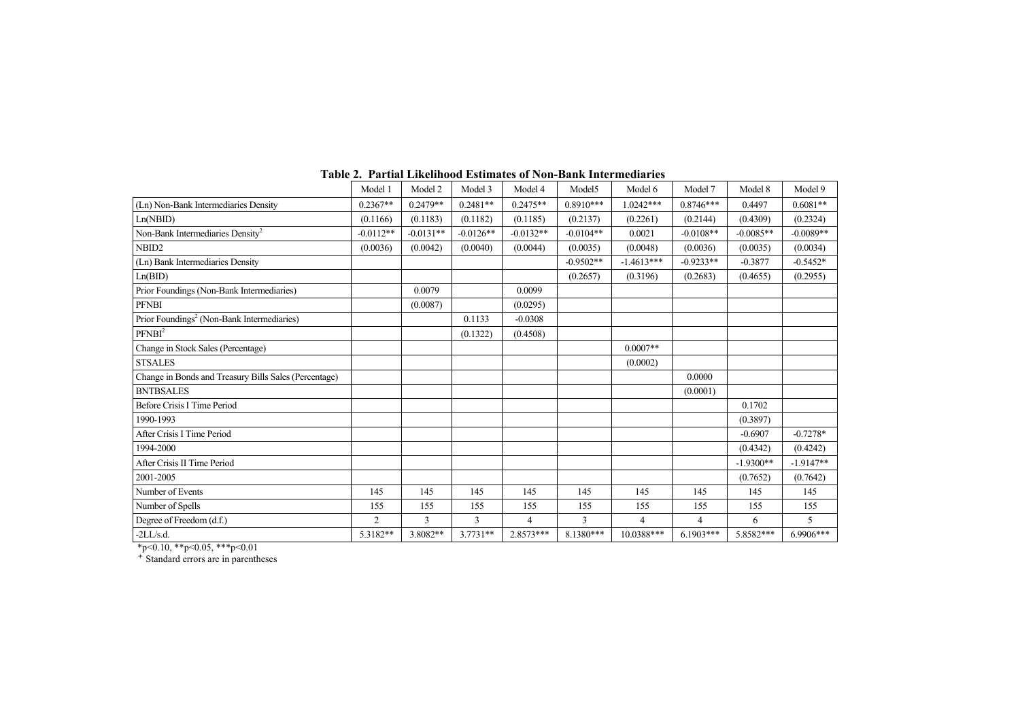|                                                                                                                       | Model 1        | Model 2     | Model 3     | Model 4     | Model <sub>5</sub> | Model 6        | Model 7     | Model 8     | Model 9     |
|-----------------------------------------------------------------------------------------------------------------------|----------------|-------------|-------------|-------------|--------------------|----------------|-------------|-------------|-------------|
| (Ln) Non-Bank Intermediaries Density                                                                                  | $0.2367**$     | $0.2479**$  | $0.2481**$  | $0.2475**$  | $0.8910***$        | $0.0242***$    | $0.8746***$ | 0.4497      | $0.6081**$  |
| Ln(NBID)                                                                                                              | (0.1166)       | (0.1183)    | (0.1182)    | (0.1185)    | (0.2137)           | (0.2261)       | (0.2144)    | (0.4309)    | (0.2324)    |
| Non-Bank Intermediaries Density <sup>2</sup>                                                                          | $-0.0112**$    | $-0.0131**$ | $-0.0126**$ | $-0.0132**$ | $-0.0104**$        | 0.0021         | $-0.0108**$ | $-0.0085**$ | $-0.0089**$ |
| NBID <sub>2</sub>                                                                                                     | (0.0036)       | (0.0042)    | (0.0040)    | (0.0044)    | (0.0035)           | (0.0048)       | (0.0036)    | (0.0035)    | (0.0034)    |
| (Ln) Bank Intermediaries Density                                                                                      |                |             |             |             | $-0.9502**$        | $-1.4613***$   | $-0.9233**$ | $-0.3877$   | $-0.5452*$  |
| Ln(BID)                                                                                                               |                |             |             |             | (0.2657)           | (0.3196)       | (0.2683)    | (0.4655)    | (0.2955)    |
| Prior Foundings (Non-Bank Intermediaries)                                                                             |                | 0.0079      |             | 0.0099      |                    |                |             |             |             |
| <b>PFNBI</b>                                                                                                          |                | (0.0087)    |             | (0.0295)    |                    |                |             |             |             |
| Prior Foundings <sup>2</sup> (Non-Bank Intermediaries)                                                                |                |             | 0.1133      | $-0.0308$   |                    |                |             |             |             |
| PFNBI <sup>2</sup>                                                                                                    |                |             | (0.1322)    | (0.4508)    |                    |                |             |             |             |
| Change in Stock Sales (Percentage)                                                                                    |                |             |             |             |                    | $0.0007**$     |             |             |             |
| <b>STSALES</b>                                                                                                        |                |             |             |             |                    | (0.0002)       |             |             |             |
| Change in Bonds and Treasury Bills Sales (Percentage)                                                                 |                |             |             |             |                    |                | 0.0000      |             |             |
| <b>BNTBSALES</b>                                                                                                      |                |             |             |             |                    |                | (0.0001)    |             |             |
| Before Crisis I Time Period                                                                                           |                |             |             |             |                    |                |             | 0.1702      |             |
| 1990-1993                                                                                                             |                |             |             |             |                    |                |             | (0.3897)    |             |
| After Crisis I Time Period                                                                                            |                |             |             |             |                    |                |             | $-0.6907$   | $-0.7278*$  |
| 1994-2000                                                                                                             |                |             |             |             |                    |                |             | (0.4342)    | (0.4242)    |
| After Crisis II Time Period                                                                                           |                |             |             |             |                    |                |             | $-1.9300**$ | $-1.9147**$ |
| 2001-2005                                                                                                             |                |             |             |             |                    |                |             | (0.7652)    | (0.7642)    |
| Number of Events                                                                                                      | 145            | 145         | 145         | 145         | 145                | 145            | 145         | 145         | 145         |
| Number of Spells                                                                                                      | 155            | 155         | 155         | 155         | 155                | 155            | 155         | 155         | 155         |
| Degree of Freedom (d.f.)                                                                                              | $\overline{2}$ | 3           | 3           | 4           | 3                  | $\overline{4}$ | 4           | 6           | 5           |
| $-2LL/s.d.$<br>$\mathcal{A}$ and $\mathcal{A}$ and $\mathcal{A}$ are defined as $\mathcal{A}$<br>$\sim$ $\sim$ $\sim$ | 5.3182**       | 3.8082**    | $3.7731**$  | 2.8573***   | 8.1380***          | 10.0388***     | $6.1903***$ | 5.8582***   | 6.9906***   |

#### **Table 2. Partial Likelihood Estimates of Non-Bank Intermediaries**

\*p<0.10, \*\*p<0.05, \*\*\*p<0.01

Standard errors are in parentheses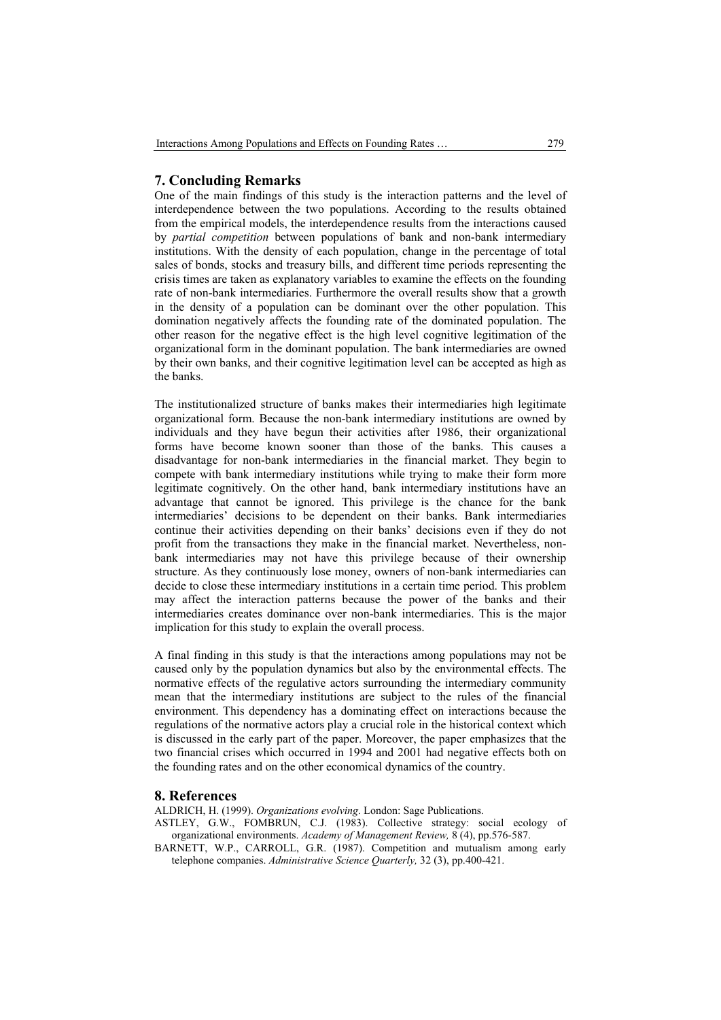## **7. Concluding Remarks**

One of the main findings of this study is the interaction patterns and the level of interdependence between the two populations. According to the results obtained from the empirical models, the interdependence results from the interactions caused by *partial competition* between populations of bank and non-bank intermediary institutions. With the density of each population, change in the percentage of total sales of bonds, stocks and treasury bills, and different time periods representing the crisis times are taken as explanatory variables to examine the effects on the founding rate of non-bank intermediaries. Furthermore the overall results show that a growth in the density of a population can be dominant over the other population. This domination negatively affects the founding rate of the dominated population. The other reason for the negative effect is the high level cognitive legitimation of the organizational form in the dominant population. The bank intermediaries are owned by their own banks, and their cognitive legitimation level can be accepted as high as the banks.

The institutionalized structure of banks makes their intermediaries high legitimate organizational form. Because the non-bank intermediary institutions are owned by individuals and they have begun their activities after 1986, their organizational forms have become known sooner than those of the banks. This causes a disadvantage for non-bank intermediaries in the financial market. They begin to compete with bank intermediary institutions while trying to make their form more legitimate cognitively. On the other hand, bank intermediary institutions have an advantage that cannot be ignored. This privilege is the chance for the bank intermediaries' decisions to be dependent on their banks. Bank intermediaries continue their activities depending on their banks' decisions even if they do not profit from the transactions they make in the financial market. Nevertheless, nonbank intermediaries may not have this privilege because of their ownership structure. As they continuously lose money, owners of non-bank intermediaries can decide to close these intermediary institutions in a certain time period. This problem may affect the interaction patterns because the power of the banks and their intermediaries creates dominance over non-bank intermediaries. This is the major implication for this study to explain the overall process.

A final finding in this study is that the interactions among populations may not be caused only by the population dynamics but also by the environmental effects. The normative effects of the regulative actors surrounding the intermediary community mean that the intermediary institutions are subject to the rules of the financial environment. This dependency has a dominating effect on interactions because the regulations of the normative actors play a crucial role in the historical context which is discussed in the early part of the paper. Moreover, the paper emphasizes that the two financial crises which occurred in 1994 and 2001 had negative effects both on the founding rates and on the other economical dynamics of the country.

### **8. References**

ALDRICH, H. (1999). *Organizations evolving*. London: Sage Publications.

- ASTLEY, G.W., FOMBRUN, C.J. (1983). Collective strategy: social ecology of organizational environments. *Academy of Management Review,* 8 (4), pp.576-587.
- BARNETT, W.P., CARROLL, G.R. (1987). Competition and mutualism among early telephone companies. *Administrative Science Quarterly,* 32 (3), pp.400-421.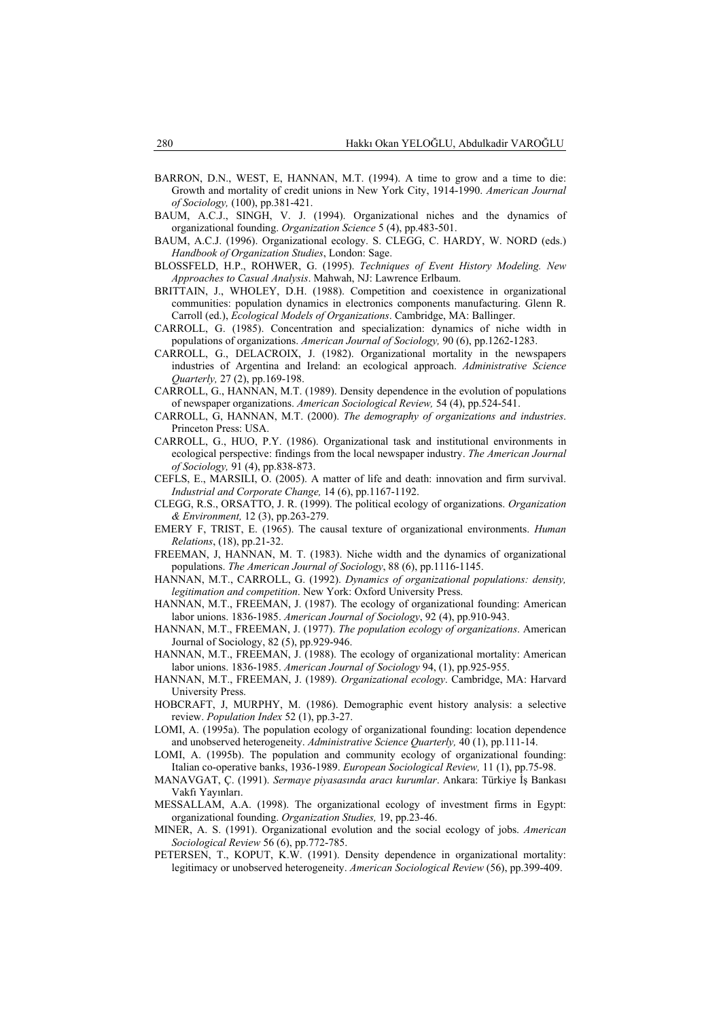- BARRON, D.N., WEST, E, HANNAN, M.T. (1994). A time to grow and a time to die: Growth and mortality of credit unions in New York City, 1914-1990. *American Journal of Sociology,* (100), pp.381-421.
- BAUM, A.C.J., SINGH, V. J. (1994). Organizational niches and the dynamics of organizational founding. *Organization Science* 5 (4), pp.483-501.
- BAUM, A.C.J. (1996). Organizational ecology. S. CLEGG, C. HARDY, W. NORD (eds.) *Handbook of Organization Studies*, London: Sage.
- BLOSSFELD, H.P., ROHWER, G. (1995). *Techniques of Event History Modeling. New Approaches to Casual Analysis*. Mahwah, NJ: Lawrence Erlbaum.
- BRITTAIN, J., WHOLEY, D.H. (1988). Competition and coexistence in organizational communities: population dynamics in electronics components manufacturing. Glenn R. Carroll (ed.), *Ecological Models of Organizations*. Cambridge, MA: Ballinger.
- CARROLL, G. (1985). Concentration and specialization: dynamics of niche width in populations of organizations. *American Journal of Sociology,* 90 (6), pp.1262-1283.
- CARROLL, G., DELACROIX, J. (1982). Organizational mortality in the newspapers industries of Argentina and Ireland: an ecological approach. *Administrative Science Quarterly,* 27 (2), pp.169-198.
- CARROLL, G., HANNAN, M.T. (1989). Density dependence in the evolution of populations of newspaper organizations. *American Sociological Review,* 54 (4), pp.524-541.
- CARROLL, G, HANNAN, M.T. (2000). *The demography of organizations and industries*. Princeton Press: USA.
- CARROLL, G., HUO, P.Y. (1986). Organizational task and institutional environments in ecological perspective: findings from the local newspaper industry. *The American Journal of Sociology,* 91 (4), pp.838-873.
- CEFLS, E., MARSILI, O. (2005). A matter of life and death: innovation and firm survival. *Industrial and Corporate Change,* 14 (6), pp.1167-1192.
- CLEGG, R.S., ORSATTO, J. R. (1999). The political ecology of organizations. *Organization & Environment,* 12 (3), pp.263-279.
- EMERY F, TRIST, E. (1965). The causal texture of organizational environments. *Human Relations*, (18), pp.21-32.
- FREEMAN, J, HANNAN, M. T. (1983). Niche width and the dynamics of organizational populations. *The American Journal of Sociology*, 88 (6), pp.1116-1145.
- HANNAN, M.T., CARROLL, G. (1992). *Dynamics of organizational populations: density, legitimation and competition*. New York: Oxford University Press.
- HANNAN, M.T., FREEMAN, J. (1987). The ecology of organizational founding: American labor unions. 1836-1985. *American Journal of Sociology*, 92 (4), pp.910-943.
- HANNAN, M.T., FREEMAN, J. (1977). *The population ecology of organizations*. American Journal of Sociology, 82 (5), pp.929-946.
- HANNAN, M.T., FREEMAN, J. (1988). The ecology of organizational mortality: American labor unions. 1836-1985. *American Journal of Sociology* 94, (1), pp.925-955.
- HANNAN, M.T., FREEMAN, J. (1989). *Organizational ecology*. Cambridge, MA: Harvard University Press.
- HOBCRAFT, J, MURPHY, M. (1986). Demographic event history analysis: a selective review. *Population Index* 52 (1), pp.3-27.
- LOMI, A. (1995a). The population ecology of organizational founding: location dependence and unobserved heterogeneity. *Administrative Science Quarterly,* 40 (1), pp.111-14.
- LOMI, A. (1995b). The population and community ecology of organizational founding: Italian co-operative banks, 1936-1989. *European Sociological Review,* 11 (1), pp.75-98.
- MANAVGAT, Ç. (1991). *Sermaye piyasasında aracı kurumlar*. Ankara: Türkiye İş Bankası Vakfı Yayınları.
- MESSALLAM, A.A. (1998). The organizational ecology of investment firms in Egypt: organizational founding. *Organization Studies,* 19, pp.23-46.
- MINER, A. S. (1991). Organizational evolution and the social ecology of jobs. *American Sociological Review* 56 (6), pp.772-785.
- PETERSEN, T., KOPUT, K.W. (1991). Density dependence in organizational mortality: legitimacy or unobserved heterogeneity. *American Sociological Review* (56), pp.399-409.